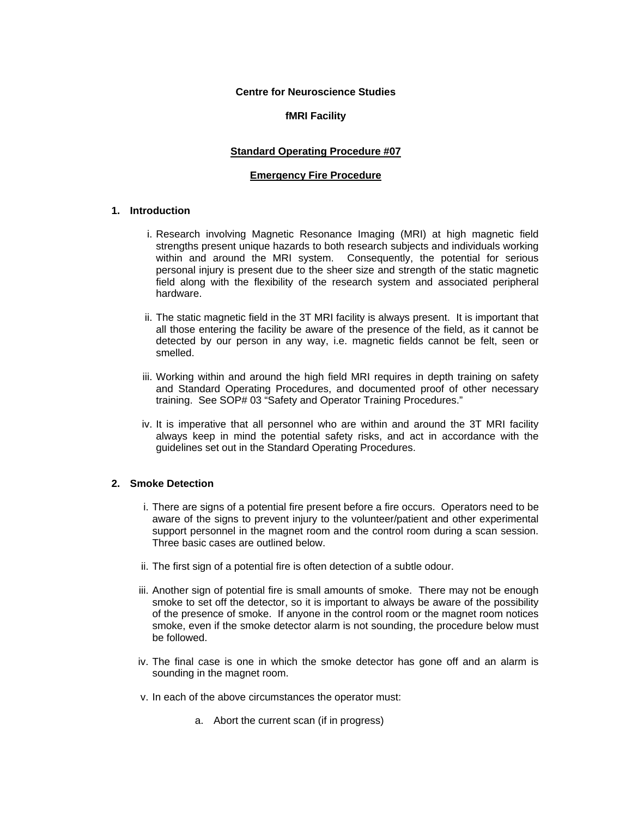#### **Centre for Neuroscience Studies**

### **fMRI Facility**

#### **Standard Operating Procedure #07**

#### **Emergency Fire Procedure**

## **1. Introduction**

- i. Research involving Magnetic Resonance Imaging (MRI) at high magnetic field strengths present unique hazards to both research subjects and individuals working within and around the MRI system. Consequently, the potential for serious personal injury is present due to the sheer size and strength of the static magnetic field along with the flexibility of the research system and associated peripheral hardware.
- ii. The static magnetic field in the 3T MRI facility is always present. It is important that all those entering the facility be aware of the presence of the field, as it cannot be detected by our person in any way, i.e. magnetic fields cannot be felt, seen or smelled.
- iii. Working within and around the high field MRI requires in depth training on safety and Standard Operating Procedures, and documented proof of other necessary training. See SOP# 03 "Safety and Operator Training Procedures."
- iv. It is imperative that all personnel who are within and around the 3T MRI facility always keep in mind the potential safety risks, and act in accordance with the guidelines set out in the Standard Operating Procedures.

## **2. Smoke Detection**

- i. There are signs of a potential fire present before a fire occurs. Operators need to be aware of the signs to prevent injury to the volunteer/patient and other experimental support personnel in the magnet room and the control room during a scan session. Three basic cases are outlined below.
- ii. The first sign of a potential fire is often detection of a subtle odour.
- iii. Another sign of potential fire is small amounts of smoke. There may not be enough smoke to set off the detector, so it is important to always be aware of the possibility of the presence of smoke. If anyone in the control room or the magnet room notices smoke, even if the smoke detector alarm is not sounding, the procedure below must be followed.
- iv. The final case is one in which the smoke detector has gone off and an alarm is sounding in the magnet room.
- v. In each of the above circumstances the operator must:
	- a. Abort the current scan (if in progress)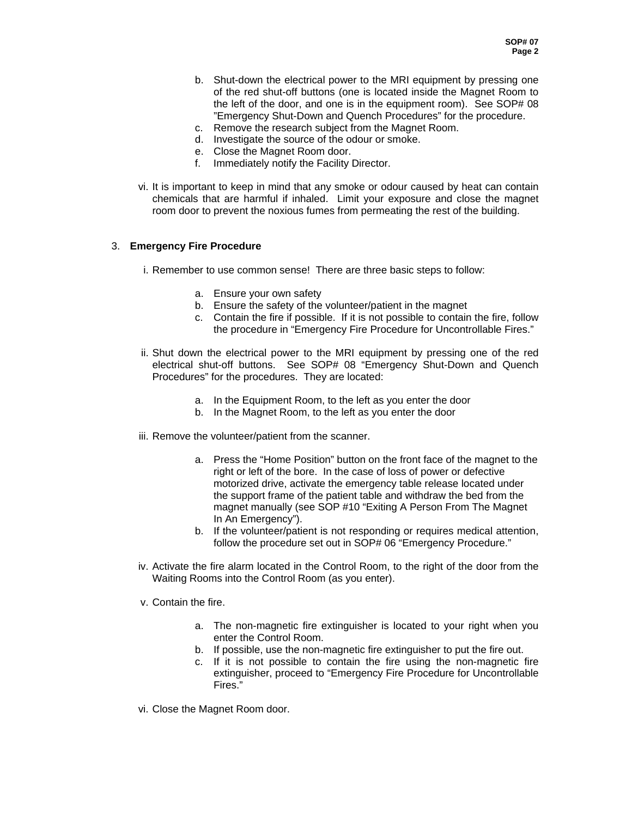- b. Shut-down the electrical power to the MRI equipment by pressing one of the red shut-off buttons (one is located inside the Magnet Room to the left of the door, and one is in the equipment room). See SOP# 08 "Emergency Shut-Down and Quench Procedures" for the procedure.
- c. Remove the research subject from the Magnet Room.
- d. Investigate the source of the odour or smoke.
- e. Close the Magnet Room door.
- f. Immediately notify the Facility Director.
- vi. It is important to keep in mind that any smoke or odour caused by heat can contain chemicals that are harmful if inhaled. Limit your exposure and close the magnet room door to prevent the noxious fumes from permeating the rest of the building.

# 3. **Emergency Fire Procedure**

- i. Remember to use common sense! There are three basic steps to follow:
	- a. Ensure your own safety
	- b. Ensure the safety of the volunteer/patient in the magnet
	- c. Contain the fire if possible. If it is not possible to contain the fire, follow the procedure in "Emergency Fire Procedure for Uncontrollable Fires."
- ii. Shut down the electrical power to the MRI equipment by pressing one of the red electrical shut-off buttons. See SOP# 08 "Emergency Shut-Down and Quench Procedures" for the procedures. They are located:
	- a. In the Equipment Room, to the left as you enter the door
	- b. In the Magnet Room, to the left as you enter the door
- iii. Remove the volunteer/patient from the scanner.
	- a. Press the "Home Position" button on the front face of the magnet to the right or left of the bore. In the case of loss of power or defective motorized drive, activate the emergency table release located under the support frame of the patient table and withdraw the bed from the magnet manually (see SOP #10 "Exiting A Person From The Magnet In An Emergency").
	- b. If the volunteer/patient is not responding or requires medical attention, follow the procedure set out in SOP# 06 "Emergency Procedure."
- iv. Activate the fire alarm located in the Control Room, to the right of the door from the Waiting Rooms into the Control Room (as you enter).
- v. Contain the fire.
	- a. The non-magnetic fire extinguisher is located to your right when you enter the Control Room.
	- b. If possible, use the non-magnetic fire extinguisher to put the fire out.
	- c. If it is not possible to contain the fire using the non-magnetic fire extinguisher, proceed to "Emergency Fire Procedure for Uncontrollable Fires."
- vi. Close the Magnet Room door.